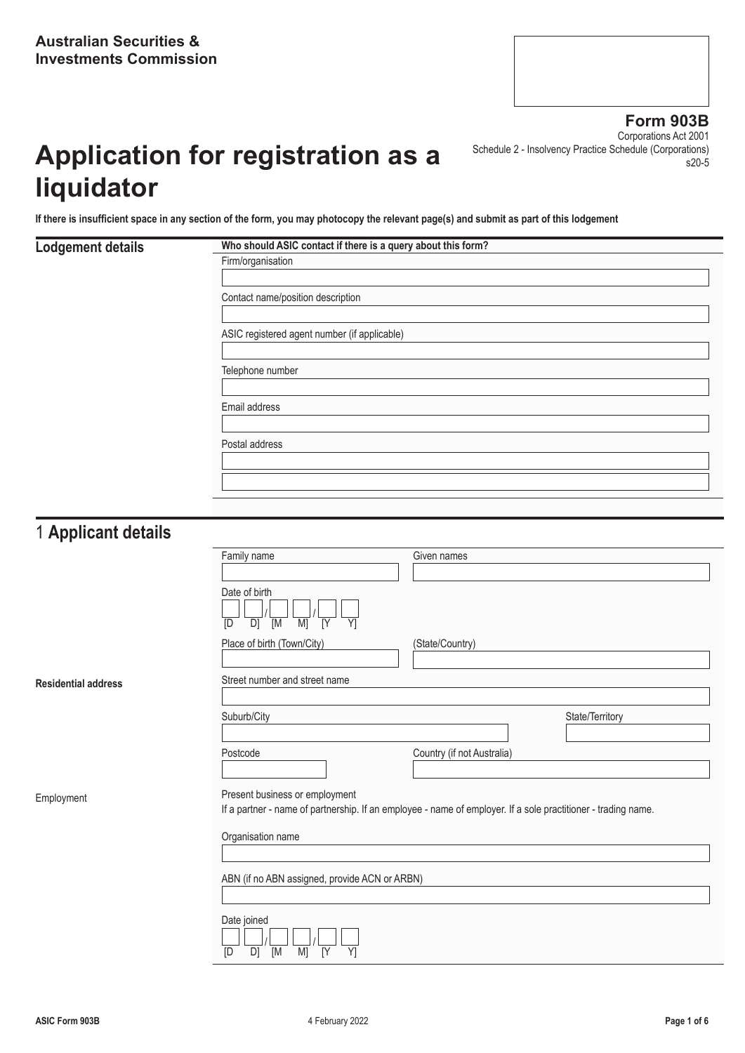# **Application for registration as a liquidator**

**Form 903B** Corporations Act 2001 Schedule 2 - Insolvency Practice Schedule (Corporations) s20-5

**If there is insufficient space in any section of the form, you may photocopy the relevant page(s) and submit as part of this lodgement**

# **Lodgement details Who should ASIC contact if there is a query about this form?** Firm/organisation Contact name/position description ASIC registered agent number (if applicable) Telephone number Email address Postal address

#### 1 **Applicant details**

**Residential address** 

Employment

| Family name                                                                                                                                     | Given names                |                 |
|-------------------------------------------------------------------------------------------------------------------------------------------------|----------------------------|-----------------|
| Date of birth<br>$\overline{Y}$<br>D]<br>M]<br>[Y<br>[D<br>[M                                                                                   |                            |                 |
| Place of birth (Town/City)                                                                                                                      | (State/Country)            |                 |
| Street number and street name                                                                                                                   |                            |                 |
| Suburb/City                                                                                                                                     |                            | State/Territory |
| Postcode                                                                                                                                        | Country (if not Australia) |                 |
| Present business or employment<br>If a partner - name of partnership. If an employee - name of employer. If a sole practitioner - trading name. |                            |                 |
| Organisation name                                                                                                                               |                            |                 |
| ABN (if no ABN assigned, provide ACN or ARBN)                                                                                                   |                            |                 |
| Date joined<br>M]<br>D]<br>[M<br>[Y<br>Y1<br>[D                                                                                                 |                            |                 |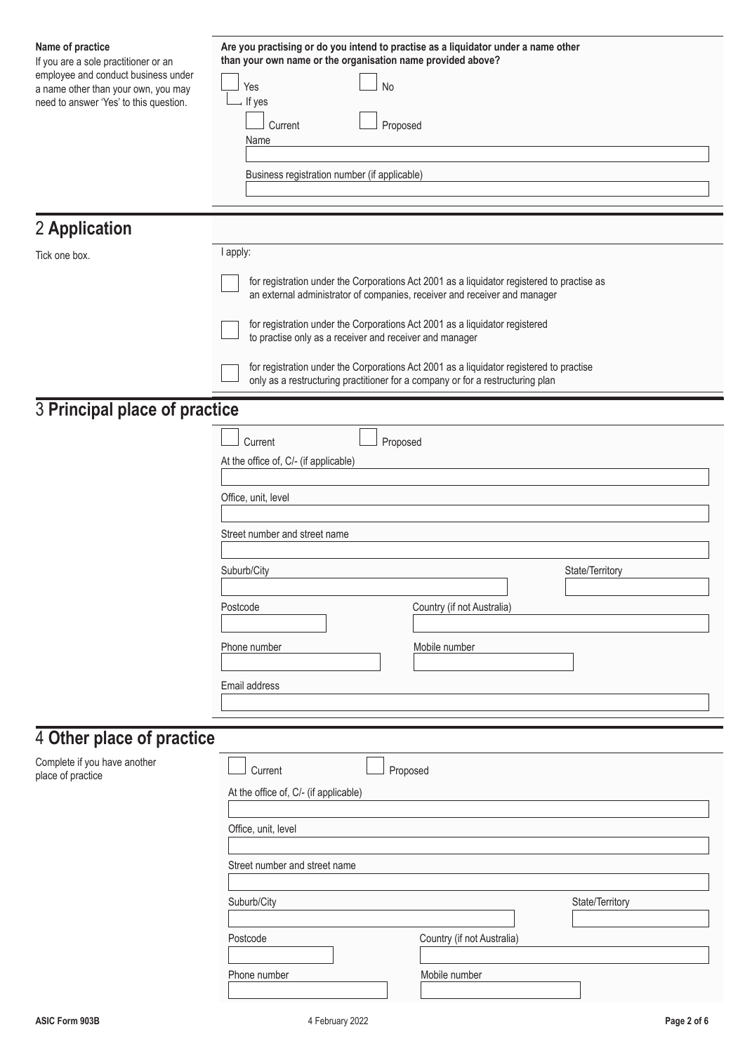| Name of practice<br>If you are a sole practitioner or an                                                             | Are you practising or do you intend to practise as a liquidator under a name other<br>than your own name or the organisation name provided above?                         |  |  |
|----------------------------------------------------------------------------------------------------------------------|---------------------------------------------------------------------------------------------------------------------------------------------------------------------------|--|--|
| employee and conduct business under<br>a name other than your own, you may<br>need to answer 'Yes' to this question. | <b>No</b><br>Yes<br>If yes                                                                                                                                                |  |  |
|                                                                                                                      | Current<br>Proposed                                                                                                                                                       |  |  |
|                                                                                                                      | Name                                                                                                                                                                      |  |  |
|                                                                                                                      | Business registration number (if applicable)                                                                                                                              |  |  |
|                                                                                                                      |                                                                                                                                                                           |  |  |
| 2 Application                                                                                                        |                                                                                                                                                                           |  |  |
| Tick one box.                                                                                                        | I apply:                                                                                                                                                                  |  |  |
|                                                                                                                      | for registration under the Corporations Act 2001 as a liquidator registered to practise as<br>an external administrator of companies, receiver and receiver and manager   |  |  |
|                                                                                                                      | for registration under the Corporations Act 2001 as a liquidator registered<br>to practise only as a receiver and receiver and manager                                    |  |  |
|                                                                                                                      | for registration under the Corporations Act 2001 as a liquidator registered to practise<br>only as a restructuring practitioner for a company or for a restructuring plan |  |  |
| 3 Principal place of practice                                                                                        |                                                                                                                                                                           |  |  |
|                                                                                                                      | Current<br>Proposed                                                                                                                                                       |  |  |
|                                                                                                                      | At the office of, C/- (if applicable)                                                                                                                                     |  |  |
|                                                                                                                      |                                                                                                                                                                           |  |  |
|                                                                                                                      | Office, unit, level                                                                                                                                                       |  |  |
|                                                                                                                      | Street number and street name                                                                                                                                             |  |  |
|                                                                                                                      | Suburb/City<br>State/Territory                                                                                                                                            |  |  |
|                                                                                                                      |                                                                                                                                                                           |  |  |
|                                                                                                                      | Postcode<br>Country (if not Australia)                                                                                                                                    |  |  |
|                                                                                                                      | Mobile number<br>Phone number                                                                                                                                             |  |  |
|                                                                                                                      | Email address                                                                                                                                                             |  |  |
|                                                                                                                      |                                                                                                                                                                           |  |  |
| 4 Other place of practice                                                                                            |                                                                                                                                                                           |  |  |
| Complete if you have another<br>place of practice                                                                    | Current<br>Proposed                                                                                                                                                       |  |  |
|                                                                                                                      | At the office of, C/- (if applicable)                                                                                                                                     |  |  |
|                                                                                                                      | Office, unit, level                                                                                                                                                       |  |  |
|                                                                                                                      |                                                                                                                                                                           |  |  |
|                                                                                                                      | Street number and street name                                                                                                                                             |  |  |
|                                                                                                                      | Suburb/City<br>State/Territory                                                                                                                                            |  |  |
|                                                                                                                      | Country (if not Australia)<br>Postcode                                                                                                                                    |  |  |
|                                                                                                                      |                                                                                                                                                                           |  |  |
|                                                                                                                      | Phone number<br>Mobile number                                                                                                                                             |  |  |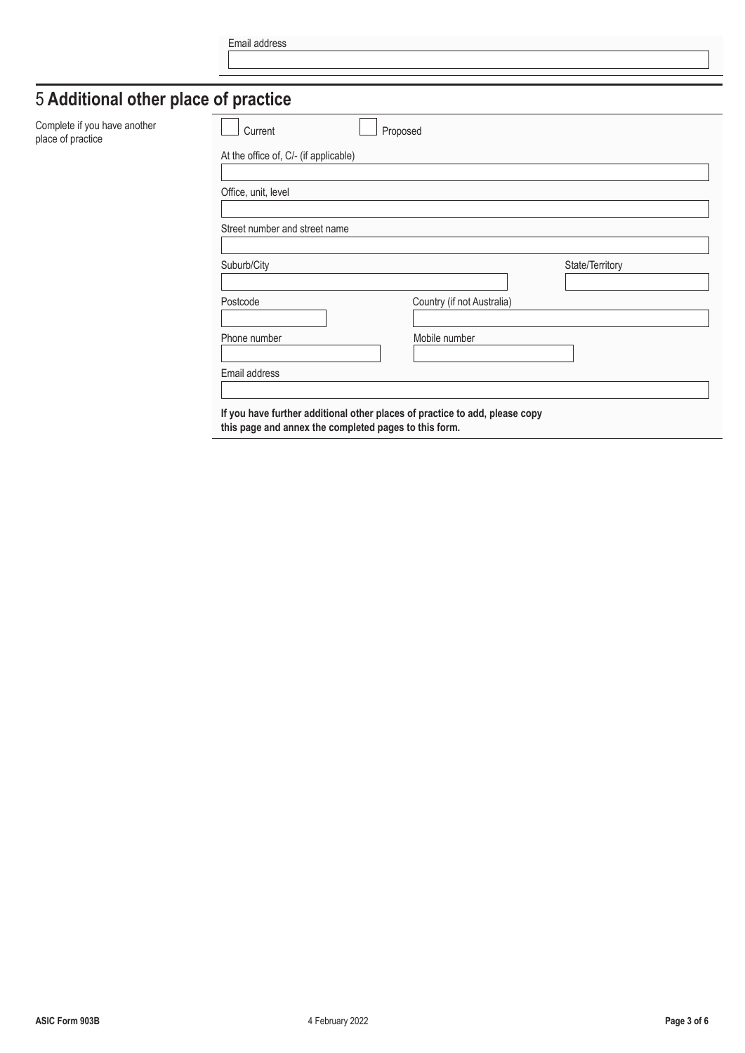| Email address |
|---------------|
|               |

## 5 **Additional other place of practice**

| Complete if you have another<br>place of practice | Current                                               | Proposed                                                                    |                 |
|---------------------------------------------------|-------------------------------------------------------|-----------------------------------------------------------------------------|-----------------|
|                                                   | At the office of, C/- (if applicable)                 |                                                                             |                 |
|                                                   | Office, unit, level                                   |                                                                             |                 |
|                                                   | Street number and street name                         |                                                                             |                 |
|                                                   | Suburb/City                                           |                                                                             | State/Territory |
|                                                   | Postcode                                              | Country (if not Australia)                                                  |                 |
|                                                   | Phone number                                          | Mobile number                                                               |                 |
|                                                   | Email address                                         |                                                                             |                 |
|                                                   | this page and annex the completed pages to this form. | If you have further additional other places of practice to add, please copy |                 |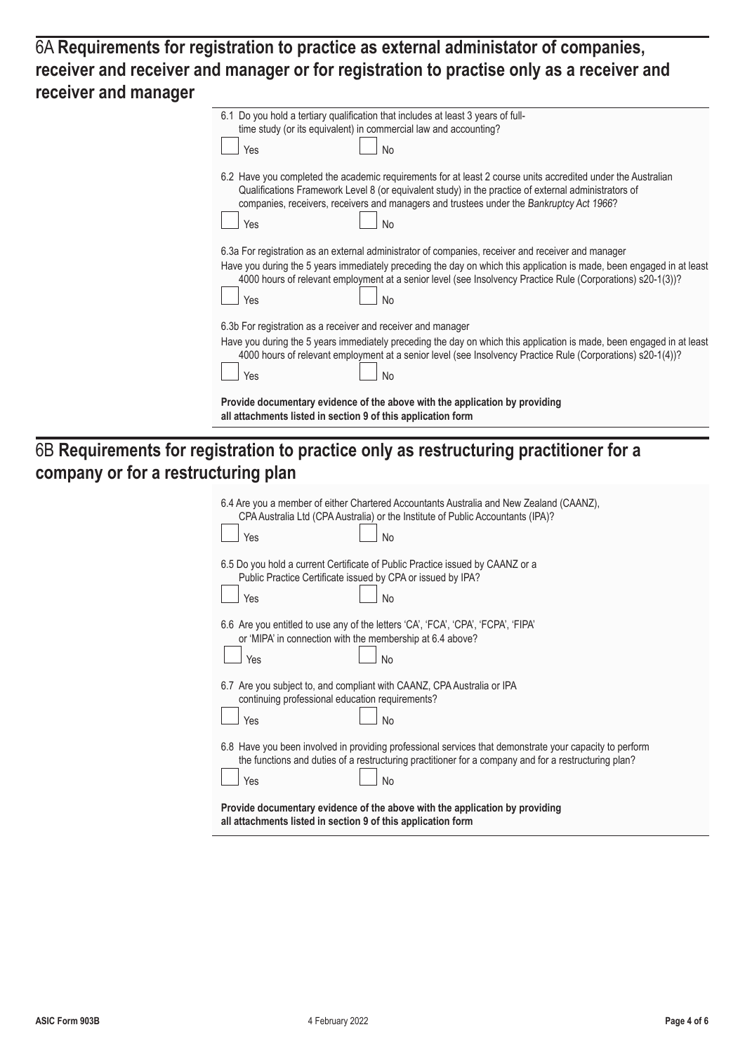6A **Requirements for registration to practice as external administator of companies, receiver and receiver and manager or for registration to practise only as a receiver and receiver and manager**

| Yes | time study (or its equivalent) in commercial law and accounting?<br>No                                                                                                                                                                                                                                                                                  |
|-----|---------------------------------------------------------------------------------------------------------------------------------------------------------------------------------------------------------------------------------------------------------------------------------------------------------------------------------------------------------|
| Yes | 6.2 Have you completed the academic requirements for at least 2 course units accredited under the Australian<br>Qualifications Framework Level 8 (or equivalent study) in the practice of external administrators of<br>companies, receivers, receivers and managers and trustees under the Bankruptcy Act 1966?<br>No                                  |
|     |                                                                                                                                                                                                                                                                                                                                                         |
| Yes | 6.3a For registration as an external administrator of companies, receiver and receiver and manager<br>Have you during the 5 years immediately preceding the day on which this application is made, been engaged in at least<br>4000 hours of relevant employment at a senior level (see Insolvency Practice Rule (Corporations) s20-1(3))?<br><b>No</b> |
|     | 6.3b For registration as a receiver and receiver and manager                                                                                                                                                                                                                                                                                            |
| Yes | Have you during the 5 years immediately preceding the day on which this application is made, been engaged in at least<br>4000 hours of relevant employment at a senior level (see Insolvency Practice Rule (Corporations) s20-1(4))?<br><b>No</b>                                                                                                       |

### 6B **Requirements for registration to practice only as restructuring practitioner for a company or for a restructuring plan**

| 6.4 Are you a member of either Chartered Accountants Australia and New Zealand (CAANZ),<br>CPA Australia Ltd (CPA Australia) or the Institute of Public Accountants (IPA)?<br>Yes<br>No                                      |  |
|------------------------------------------------------------------------------------------------------------------------------------------------------------------------------------------------------------------------------|--|
| 6.5 Do you hold a current Certificate of Public Practice issued by CAANZ or a<br>Public Practice Certificate issued by CPA or issued by IPA?<br>Yes<br>No                                                                    |  |
| 6.6 Are you entitled to use any of the letters 'CA', 'FCA', 'CPA', 'FCPA', 'FIPA'<br>or 'MIPA' in connection with the membership at 6.4 above?<br>No<br>Yes                                                                  |  |
| 6.7 Are you subject to, and compliant with CAANZ, CPA Australia or IPA<br>continuing professional education requirements?<br>Yes<br><b>No</b>                                                                                |  |
| 6.8 Have you been involved in providing professional services that demonstrate your capacity to perform<br>the functions and duties of a restructuring practitioner for a company and for a restructuring plan?<br>No<br>Yes |  |
| Provide documentary evidence of the above with the application by providing<br>all attachments listed in section 9 of this application form                                                                                  |  |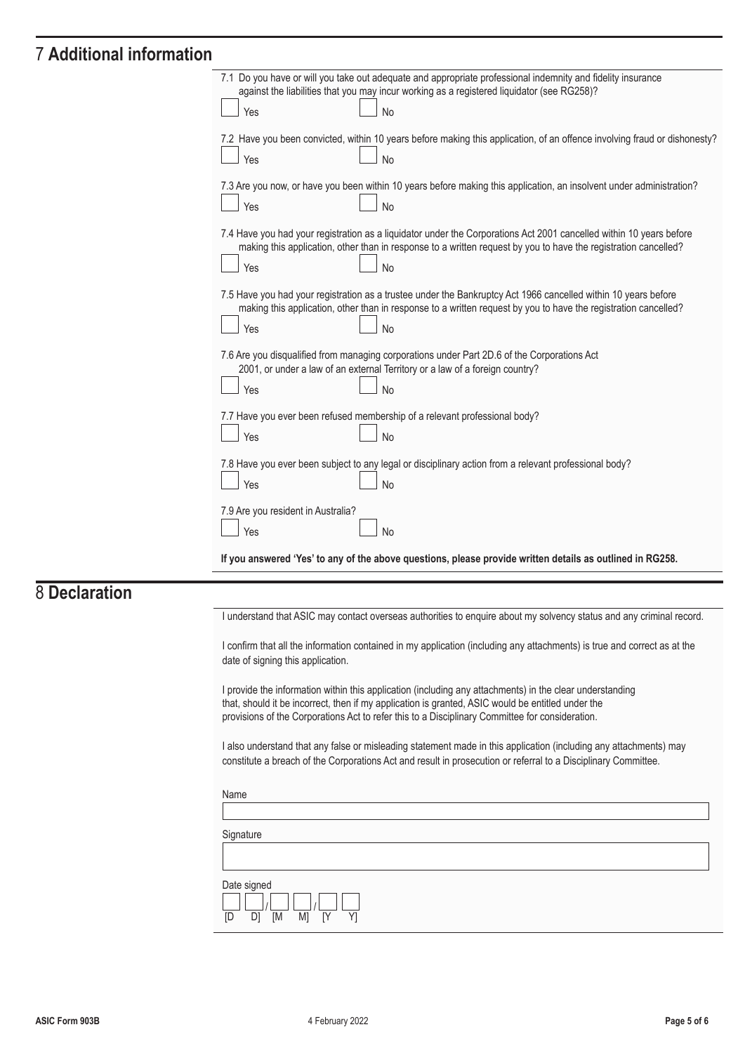#### 7 **Additional information**

| 7.1 Do you have or will you take out adequate and appropriate professional indemnity and fidelity insurance                                                                                                                            |
|----------------------------------------------------------------------------------------------------------------------------------------------------------------------------------------------------------------------------------------|
| against the liabilities that you may incur working as a registered liquidator (see RG258)?                                                                                                                                             |
| <b>No</b><br>Yes                                                                                                                                                                                                                       |
| 7.2 Have you been convicted, within 10 years before making this application, of an offence involving fraud or dishonesty?                                                                                                              |
| <b>No</b><br>Yes                                                                                                                                                                                                                       |
|                                                                                                                                                                                                                                        |
| 7.3 Are you now, or have you been within 10 years before making this application, an insolvent under administration?                                                                                                                   |
| Yes<br><b>No</b>                                                                                                                                                                                                                       |
| 7.4 Have you had your registration as a liquidator under the Corporations Act 2001 cancelled within 10 years before<br>making this application, other than in response to a written request by you to have the registration cancelled? |
| Yes<br><b>No</b>                                                                                                                                                                                                                       |
|                                                                                                                                                                                                                                        |
| 7.5 Have you had your registration as a trustee under the Bankruptcy Act 1966 cancelled within 10 years before<br>making this application, other than in response to a written request by you to have the registration cancelled?      |
|                                                                                                                                                                                                                                        |
| Yes<br><b>No</b>                                                                                                                                                                                                                       |
| 7.6 Are you disqualified from managing corporations under Part 2D.6 of the Corporations Act                                                                                                                                            |
| 2001, or under a law of an external Territory or a law of a foreign country?                                                                                                                                                           |
| <b>No</b><br>Yes                                                                                                                                                                                                                       |
|                                                                                                                                                                                                                                        |
| 7.7 Have you ever been refused membership of a relevant professional body?                                                                                                                                                             |
| Yes<br>No                                                                                                                                                                                                                              |
| 7.8 Have you ever been subject to any legal or disciplinary action from a relevant professional body?                                                                                                                                  |
| Yes<br><b>No</b>                                                                                                                                                                                                                       |
|                                                                                                                                                                                                                                        |
| 7.9 Are you resident in Australia?                                                                                                                                                                                                     |
| Yes<br><b>No</b>                                                                                                                                                                                                                       |
|                                                                                                                                                                                                                                        |
| If you answered 'Yes' to any of the above questions, please provide written details as outlined in RG258.                                                                                                                              |
|                                                                                                                                                                                                                                        |
|                                                                                                                                                                                                                                        |
| I understand that ASIC may contact overseas authorities to enquire about my solvency status and any criminal record.                                                                                                                   |
|                                                                                                                                                                                                                                        |

I confirm that all the information contained in my application (including any attachments) is true and correct as at the date of signing this application.

I provide the information within this application (including any attachments) in the clear understanding that, should it be incorrect, then if my application is granted, ASIC would be entitled under the provisions of the Corporations Act to refer this to a Disciplinary Committee for consideration.

I also understand that any false or misleading statement made in this application (including any attachments) may constitute a breach of the Corporations Act and result in prosecution or referral to a Disciplinary Committee.

| Name                                                                                 |  |
|--------------------------------------------------------------------------------------|--|
|                                                                                      |  |
| Signature                                                                            |  |
|                                                                                      |  |
| Date signed<br>[D]<br>D <sub>1</sub><br>M <sub>1</sub><br>[M<br>[Y<br>Y <sub>1</sub> |  |

8 **Declaration**